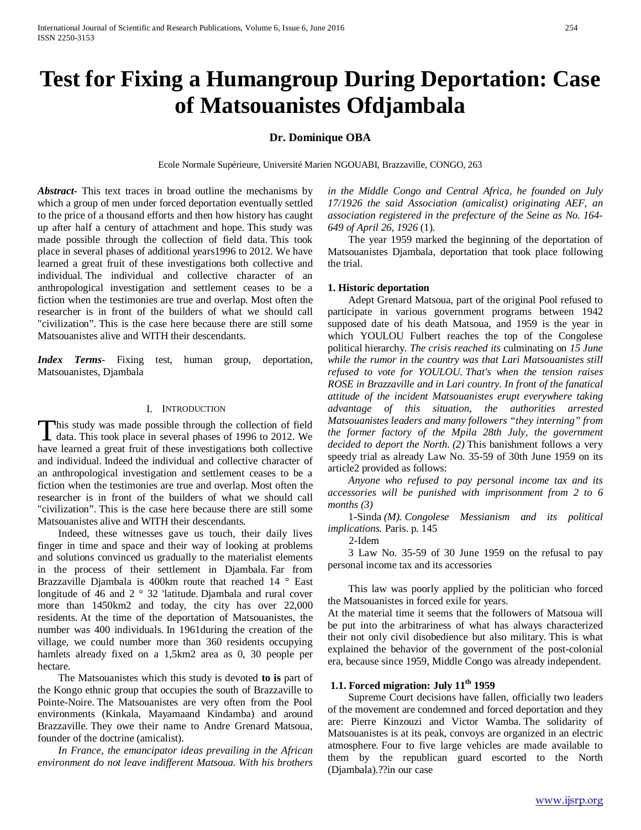# **Test for Fixing a Humangroup During Deportation: Case of Matsouanistes Ofdjambala**

# **Dr. Dominique OBA**

Ecole Normale Supérieure, Université Marien NGOUABI, Brazzaville, CONGO, 263

*Abstract***-** This text traces in broad outline the mechanisms by which a group of men under forced deportation eventually settled to the price of a thousand efforts and then how history has caught up after half a century of attachment and hope. This study was made possible through the collection of field data. This took place in several phases of additional years1996 to 2012. We have learned a great fruit of these investigations both collective and individual. The individual and collective character of an anthropological investigation and settlement ceases to be a fiction when the testimonies are true and overlap. Most often the researcher is in front of the builders of what we should call "civilization". This is the case here because there are still some Matsouanistes alive and WITH their descendants.

*Index Terms*- Fixing test, human group, deportation, Matsouanistes, Djambala

## I. INTRODUCTION

This study was made possible through the collection of field This study was made possible through the collection of field<br>data. This took place in several phases of 1996 to 2012. We have learned a great fruit of these investigations both collective and individual. Indeed the individual and collective character of an anthropological investigation and settlement ceases to be a fiction when the testimonies are true and overlap. Most often the researcher is in front of the builders of what we should call "civilization". This is the case here because there are still some Matsouanistes alive and WITH their descendants.

 Indeed, these witnesses gave us touch, their daily lives finger in time and space and their way of looking at problems and solutions convinced us gradually to the materialist elements in the process of their settlement in Djambala. Far from Brazzaville Djambala is 400km route that reached 14 ° East longitude of 46 and 2 ° 32 'latitude. Djambala and rural cover more than 1450km2 and today, the city has over 22,000 residents. At the time of the deportation of Matsouanistes, the number was 400 individuals. In 1961during the creation of the village, we could number more than 360 residents occupying hamlets already fixed on a 1,5km2 area as 0, 30 people per hectare.

 The Matsouanistes which this study is devoted **to is** part of the Kongo ethnic group that occupies the south of Brazzaville to Pointe-Noire. The Matsouanistes are very often from the Pool environments (Kinkala, Mayamaand Kindamba) and around Brazzaville. They owe their name to Andre Grenard Matsoua, founder of the doctrine (amicalist).

 *In France, the emancipator ideas prevailing in the African environment do not leave indifferent Matsoua. With his brothers* 

*in the Middle Congo and Central Africa, he founded on July 17/1926 the said Association (amicalist) originating AEF, an association registered in the prefecture of the Seine as No. 164- 649 of April 26, 1926* (1).

 The year 1959 marked the beginning of the deportation of Matsouanistes Djambala, deportation that took place following the trial.

## **1. Historic deportation**

 Adept Grenard Matsoua, part of the original Pool refused to participate in various government programs between 1942 supposed date of his death Matsoua, and 1959 is the year in which YOULOU Fulbert reaches the top of the Congolese political hierarchy. *The crisis reached its* culminating on *15 June while the rumor in the country was that Lari Matsouanistes still refused to vote for YOULOU. That's when the tension raises ROSE in Brazzaville and in Lari country. In front of the fanatical attitude of the incident Matsouanistes erupt everywhere taking advantage of this situation, the authorities arrested Matsouanistes leaders and many followers "they interning" from the former factory of the Mpila 28th July, the government decided to deport the North. (2)* This banishment follows a very speedy trial as already Law No. 35-59 of 30th June 1959 on its article2 provided as follows:

 *Anyone who refused to pay personal income tax and its accessories will be punished with imprisonment from 2 to 6 months (3)*

 1-Sinda *(M). Congolese Messianism and its political implications.* Paris. p. 145

2-Idem

 3 Law No. 35-59 of 30 June 1959 on the refusal to pay personal income tax and its accessories

 This law was poorly applied by the politician who forced the Matsouanistes in forced exile for years.

At the material time it seems that the followers of Matsoua will be put into the arbitrariness of what has always characterized their not only civil disobedience but also military. This is what explained the behavior of the government of the post-colonial era, because since 1959, Middle Congo was already independent.

# **1.1. Forced migration: July 11th 1959**

 Supreme Court decisions have fallen, officially two leaders of the movement are condemned and forced deportation and they are: Pierre Kinzouzi and Victor Wamba. The solidarity of Matsouanistes is at its peak, convoys are organized in an electric atmosphere. Four to five large vehicles are made available to them by the republican guard escorted to the North (Djambala).??in our case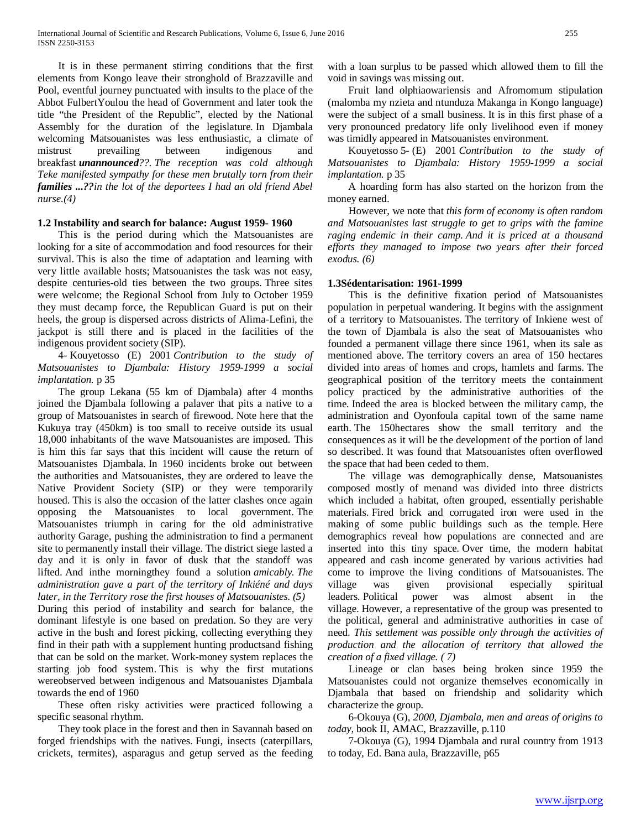It is in these permanent stirring conditions that the first elements from Kongo leave their stronghold of Brazzaville and Pool, eventful journey punctuated with insults to the place of the Abbot FulbertYoulou the head of Government and later took the title "the President of the Republic", elected by the National Assembly for the duration of the legislature. In Djambala welcoming Matsouanistes was less enthusiastic, a climate of mistrust prevailing between indigenous and breakfast *unannounced??. The reception was cold although Teke manifested sympathy for these men brutally torn from their families ...??in the lot of the deportees I had an old friend Abel nurse.(4)*

## **1.2 Instability and search for balance: August 1959- 1960**

 This is the period during which the Matsouanistes are looking for a site of accommodation and food resources for their survival. This is also the time of adaptation and learning with very little available hosts; Matsouanistes the task was not easy, despite centuries-old ties between the two groups. Three sites were welcome; the Regional School from July to October 1959 they must decamp force, the Republican Guard is put on their heels, the group is dispersed across districts of Alima-Lefini, the jackpot is still there and is placed in the facilities of the indigenous provident society (SIP).

 4- Kouyetosso (E) 2001 *Contribution to the study of Matsouanistes to Djambala: History 1959-1999 a social implantation.* p 35

 The group Lekana (55 km of Djambala) after 4 months joined the Djambala following a palaver that pits a native to a group of Matsouanistes in search of firewood. Note here that the Kukuya tray (450km) is too small to receive outside its usual 18,000 inhabitants of the wave Matsouanistes are imposed. This is him this far says that this incident will cause the return of Matsouanistes Djambala. In 1960 incidents broke out between the authorities and Matsouanistes, they are ordered to leave the Native Provident Society (SIP) or they were temporarily housed. This is also the occasion of the latter clashes once again opposing the Matsouanistes to local government. The Matsouanistes triumph in caring for the old administrative authority Garage, pushing the administration to find a permanent site to permanently install their village. The district siege lasted a day and it is only in favor of dusk that the standoff was lifted. And inthe morningthey found a solution *amicably. The administration gave a part of the territory of Inkiéné and days later, in the Territory rose the first houses of Matsouanistes. (5)*

During this period of instability and search for balance, the dominant lifestyle is one based on predation. So they are very active in the bush and forest picking, collecting everything they find in their path with a supplement hunting productsand fishing that can be sold on the market. Work-money system replaces the starting job food system. This is why the first mutations wereobserved between indigenous and Matsouanistes Djambala towards the end of 1960

 These often risky activities were practiced following a specific seasonal rhythm.

 They took place in the forest and then in Savannah based on forged friendships with the natives. Fungi, insects (caterpillars, crickets, termites), asparagus and getup served as the feeding with a loan surplus to be passed which allowed them to fill the void in savings was missing out.

 Fruit land olphiaowariensis and Afromomum stipulation (malomba my nzieta and ntunduza Makanga in Kongo language) were the subject of a small business. It is in this first phase of a very pronounced predatory life only livelihood even if money was timidly appeared in Matsouanistes environment.

 Kouyetosso 5- (E) 2001 *Contribution to the study of Matsouanistes to Djambala: History 1959-1999 a social implantation.* p 35

 A hoarding form has also started on the horizon from the money earned.

 However, we note that *this form of economy is often random and Matsouanistes last struggle to get to grips with the famine raging endemic in their camp. And it is priced at a thousand efforts they managed to impose two years after their forced exodus. (6)*

## **1.3Sédentarisation: 1961-1999**

 This is the definitive fixation period of Matsouanistes population in perpetual wandering. It begins with the assignment of a territory to Matsouanistes. The territory of Inkiene west of the town of Djambala is also the seat of Matsouanistes who founded a permanent village there since 1961, when its sale as mentioned above. The territory covers an area of 150 hectares divided into areas of homes and crops, hamlets and farms. The geographical position of the territory meets the containment policy practiced by the administrative authorities of the time. Indeed the area is blocked between the military camp, the administration and Oyonfoula capital town of the same name earth. The 150hectares show the small territory and the consequences as it will be the development of the portion of land so described. It was found that Matsouanistes often overflowed the space that had been ceded to them.

 The village was demographically dense, Matsouanistes composed mostly of menand was divided into three districts which included a habitat, often grouped, essentially perishable materials. Fired brick and corrugated iron were used in the making of some public buildings such as the temple. Here demographics reveal how populations are connected and are inserted into this tiny space. Over time, the modern habitat appeared and cash income generated by various activities had come to improve the living conditions of Matsouanistes. The village was given provisional especially spiritual leaders. Political power was almost absent in the village. However, a representative of the group was presented to the political, general and administrative authorities in case of need. *This settlement was possible only through the activities of production and the allocation of territory that allowed the creation of a fixed village. ( 7)*

 Lineage or clan bases being broken since 1959 the Matsouanistes could not organize themselves economically in Djambala that based on friendship and solidarity which characterize the group.

 6-Okouya (G), *2000, Djambala, men and areas of origins to today,* book II, AMAC, Brazzaville, p.110

 7-Okouya (G), 1994 Djambala and rural country from 1913 to today, Ed. Bana aula, Brazzaville, p65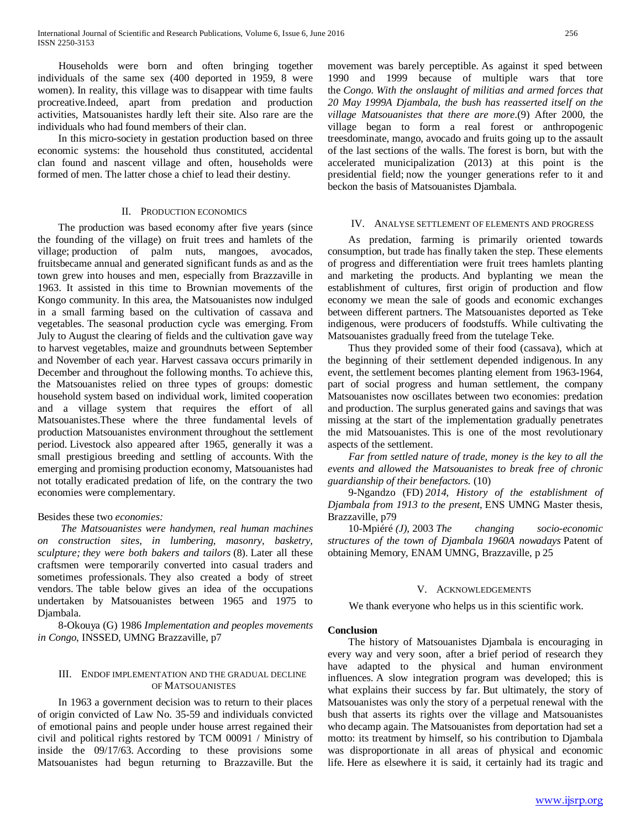Households were born and often bringing together individuals of the same sex (400 deported in 1959, 8 were women). In reality, this village was to disappear with time faults procreative.Indeed, apart from predation and production activities, Matsouanistes hardly left their site. Also rare are the individuals who had found members of their clan.

 In this micro-society in gestation production based on three economic systems: the household thus constituted, accidental clan found and nascent village and often, households were formed of men. The latter chose a chief to lead their destiny.

# II. PRODUCTION ECONOMICS

 The production was based economy after five years (since the founding of the village) on fruit trees and hamlets of the village; production of palm nuts, mangoes, avocados, fruitsbecame annual and generated significant funds as and as the town grew into houses and men, especially from Brazzaville in 1963. It assisted in this time to Brownian movements of the Kongo community. In this area, the Matsouanistes now indulged in a small farming based on the cultivation of cassava and vegetables. The seasonal production cycle was emerging. From July to August the clearing of fields and the cultivation gave way to harvest vegetables, maize and groundnuts between September and November of each year. Harvest cassava occurs primarily in December and throughout the following months. To achieve this, the Matsouanistes relied on three types of groups: domestic household system based on individual work, limited cooperation and a village system that requires the effort of all Matsouanistes.These where the three fundamental levels of production Matsouanistes environment throughout the settlement period. Livestock also appeared after 1965, generally it was a small prestigious breeding and settling of accounts. With the emerging and promising production economy, Matsouanistes had not totally eradicated predation of life, on the contrary the two economies were complementary.

## Besides these two *economies:*

 *The Matsouanistes were handymen, real human machines on construction sites, in lumbering, masonry, basketry, sculpture; they were both bakers and tailors* (8). Later all these craftsmen were temporarily converted into casual traders and sometimes professionals. They also created a body of street vendors. The table below gives an idea of the occupations undertaken by Matsouanistes between 1965 and 1975 to Djambala.

 8-Okouya (G) 1986 *Implementation and peoples movements in Congo,* INSSED, UMNG Brazzaville, p7

## III. ENDOF IMPLEMENTATION AND THE GRADUAL DECLINE OF MATSOUANISTES

 In 1963 a government decision was to return to their places of origin convicted of Law No. 35-59 and individuals convicted of emotional pains and people under house arrest regained their civil and political rights restored by TCM 00091 / Ministry of inside the 09/17/63. According to these provisions some Matsouanistes had begun returning to Brazzaville. But the movement was barely perceptible. As against it sped between 1990 and 1999 because of multiple wars that tore the *Congo. With the onslaught of militias and armed forces that 20 May 1999A Djambala, the bush has reasserted itself on the village Matsouanistes that there are more.*(9) After 2000, the village began to form a real forest or anthropogenic treesdominate, mango, avocado and fruits going up to the assault of the last sections of the walls. The forest is born, but with the accelerated municipalization (2013) at this point is the presidential field; now the younger generations refer to it and beckon the basis of Matsouanistes Djambala.

#### IV. ANALYSE SETTLEMENT OF ELEMENTS AND PROGRESS

 As predation, farming is primarily oriented towards consumption, but trade has finally taken the step. These elements of progress and differentiation were fruit trees hamlets planting and marketing the products. And byplanting we mean the establishment of cultures, first origin of production and flow economy we mean the sale of goods and economic exchanges between different partners. The Matsouanistes deported as Teke indigenous, were producers of foodstuffs. While cultivating the Matsouanistes gradually freed from the tutelage Teke.

 Thus they provided some of their food (cassava), which at the beginning of their settlement depended indigenous. In any event, the settlement becomes planting element from 1963-1964, part of social progress and human settlement, the company Matsouanistes now oscillates between two economies: predation and production. The surplus generated gains and savings that was missing at the start of the implementation gradually penetrates the mid Matsouanistes. This is one of the most revolutionary aspects of the settlement.

 *Far from settled nature of trade, money is the key to all the events and allowed the Matsouanistes to break free of chronic guardianship of their benefactors.* (10)

 9-Ngandzo (FD) *2014, History of the establishment of Djambala from 1913 to the present,* ENS UMNG Master thesis, Brazzaville, p79

 10-Mpiéré *(J),* 2003 *The changing socio-economic structures of the town of Djambala 1960A nowadays* Patent of obtaining Memory, ENAM UMNG, Brazzaville, p 25

#### V. ACKNOWLEDGEMENTS

We thank everyone who helps us in this scientific work.

#### **Conclusion**

 The history of Matsouanistes Djambala is encouraging in every way and very soon, after a brief period of research they have adapted to the physical and human environment influences. A slow integration program was developed; this is what explains their success by far. But ultimately, the story of Matsouanistes was only the story of a perpetual renewal with the bush that asserts its rights over the village and Matsouanistes who decamp again. The Matsouanistes from deportation had set a motto: its treatment by himself, so his contribution to Djambala was disproportionate in all areas of physical and economic life. Here as elsewhere it is said, it certainly had its tragic and